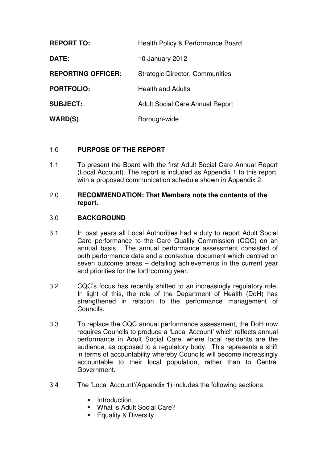| <b>REPORT TO:</b>         | Health Policy & Performance Board      |
|---------------------------|----------------------------------------|
| DATE:                     | 10 January 2012                        |
| <b>REPORTING OFFICER:</b> | <b>Strategic Director, Communities</b> |
| <b>PORTFOLIO:</b>         | <b>Health and Adults</b>               |
| <b>SUBJECT:</b>           | <b>Adult Social Care Annual Report</b> |
| WARD(S)                   | Borough-wide                           |

# 1.0 **PURPOSE OF THE REPORT**

1.1 To present the Board with the first Adult Social Care Annual Report (Local Account). The report is included as Appendix 1 to this report, with a proposed communication schedule shown in Appendix 2.

## 2.0 **RECOMMENDATION: That Members note the contents of the report.**

## 3.0 **BACKGROUND**

- 3.1 In past years all Local Authorities had a duty to report Adult Social Care performance to the Care Quality Commission (CQC) on an annual basis. The annual performance assessment consisted of both performance data and a contextual document which centred on seven outcome areas – detailing achievements in the current year and priorities for the forthcoming year.
- 3.2 CQC's focus has recently shifted to an increasingly regulatory role. In light of this, the role of the Department of Health (DoH) has strengthened in relation to the performance management of Councils.
- 3.3 To replace the CQC annual performance assessment, the DoH now requires Councils to produce a 'Local Account' which reflects annual performance in Adult Social Care, where local residents are the audience, as opposed to a regulatory body. This represents a shift in terms of accountability whereby Councils will become increasingly accountable to their local population, rather than to Central Government.
- 3.4 The 'Local Account'(Appendix 1) includes the following sections:
	- **Introduction**
	- **What is Adult Social Care?**
	- **Equality & Diversity**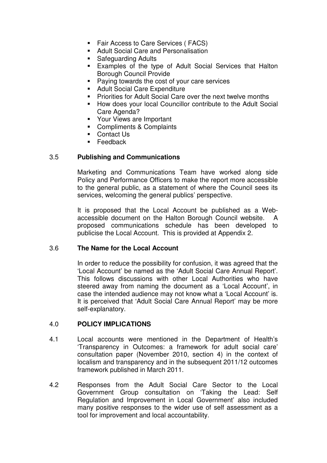- **Fair Access to Care Services ( FACS)**
- **Adult Social Care and Personalisation**
- **Safeguarding Adults**
- Examples of the type of Adult Social Services that Halton Borough Council Provide
- **Paying towards the cost of your care services**
- **Adult Social Care Expenditure**
- **Priorities for Adult Social Care over the next twelve months**
- **How does your local Councillor contribute to the Adult Social** Care Agenda?
- **Your Views are Important**
- Compliments & Complaints
- Contact Us
- **Feedback**

# 3.5 **Publishing and Communications**

Marketing and Communications Team have worked along side Policy and Performance Officers to make the report more accessible to the general public, as a statement of where the Council sees its services, welcoming the general publics' perspective.

It is proposed that the Local Account be published as a Webaccessible document on the Halton Borough Council website. A proposed communications schedule has been developed to publicise the Local Account. This is provided at Appendix 2.

## 3.6 **The Name for the Local Account**

In order to reduce the possibility for confusion, it was agreed that the 'Local Account' be named as the 'Adult Social Care Annual Report'. This follows discussions with other Local Authorities who have steered away from naming the document as a 'Local Account', in case the intended audience may not know what a 'Local Account' is. It is perceived that 'Adult Social Care Annual Report' may be more self-explanatory.

## 4.0 **POLICY IMPLICATIONS**

- 4.1 Local accounts were mentioned in the Department of Health's 'Transparency in Outcomes: a framework for adult social care' consultation paper (November 2010, section 4) in the context of localism and transparency and in the subsequent 2011/12 outcomes framework published in March 2011.
- 4.2 Responses from the Adult Social Care Sector to the Local Government Group consultation on 'Taking the Lead: Self Regulation and Improvement in Local Government' also included many positive responses to the wider use of self assessment as a tool for improvement and local accountability.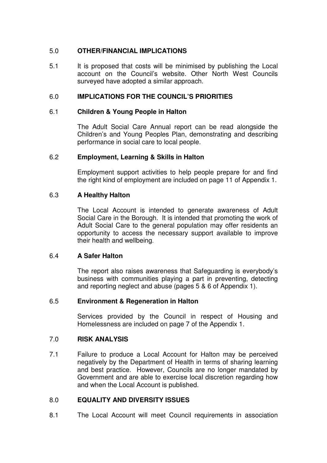# 5.0 **OTHER/FINANCIAL IMPLICATIONS**

5.1 It is proposed that costs will be minimised by publishing the Local account on the Council's website. Other North West Councils surveyed have adopted a similar approach.

## 6.0 **IMPLICATIONS FOR THE COUNCIL'S PRIORITIES**

## 6.1 **Children & Young People in Halton**

The Adult Social Care Annual report can be read alongside the Children's and Young Peoples Plan, demonstrating and describing performance in social care to local people.

# 6.2 **Employment, Learning & Skills in Halton**

Employment support activities to help people prepare for and find the right kind of employment are included on page 11 of Appendix 1.

# 6.3 **A Healthy Halton**

The Local Account is intended to generate awareness of Adult Social Care in the Borough. It is intended that promoting the work of Adult Social Care to the general population may offer residents an opportunity to access the necessary support available to improve their health and wellbeing.

## 6.4 **A Safer Halton**

The report also raises awareness that Safeguarding is everybody's business with communities playing a part in preventing, detecting and reporting neglect and abuse (pages 5 & 6 of Appendix 1).

## 6.5 **Environment & Regeneration in Halton**

Services provided by the Council in respect of Housing and Homelessness are included on page 7 of the Appendix 1.

## 7.0 **RISK ANALYSIS**

7.1 Failure to produce a Local Account for Halton may be perceived negatively by the Department of Health in terms of sharing learning and best practice. However, Councils are no longer mandated by Government and are able to exercise local discretion regarding how and when the Local Account is published.

# 8.0 **EQUALITY AND DIVERSITY ISSUES**

8.1 The Local Account will meet Council requirements in association